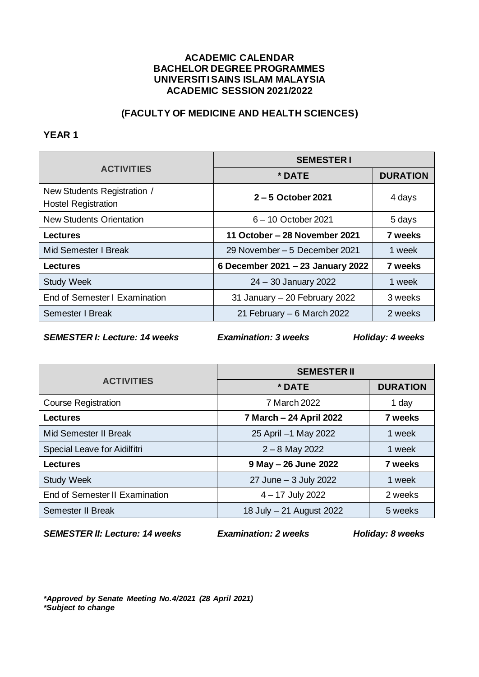# **(FACULTY OF MEDICINE AND HEALTH SCIENCES)**

### **YEAR 1**

|                                                           | <b>SEMESTERI</b>                  |                 |
|-----------------------------------------------------------|-----------------------------------|-----------------|
| <b>ACTIVITIES</b>                                         | * DATE                            | <b>DURATION</b> |
| New Students Registration /<br><b>Hostel Registration</b> | $2 - 5$ October 2021              | 4 days          |
| <b>New Students Orientation</b>                           | 6-10 October 2021                 | 5 days          |
| <b>Lectures</b>                                           | 11 October – 28 November 2021     | 7 weeks         |
| Mid Semester I Break                                      | 29 November – 5 December 2021     | 1 week          |
| Lectures                                                  | 6 December 2021 - 23 January 2022 | 7 weeks         |
| <b>Study Week</b>                                         | 24 - 30 January 2022              | 1 week          |
| End of Semester I Examination                             | 31 January - 20 February 2022     | 3 weeks         |
| <b>Semester I Break</b>                                   | 21 February $-6$ March 2022       | 2 weeks         |

*SEMESTER I: Lecture: 14 weeks Examination: 3 weeks Holiday: 4 weeks*

|                                | <b>SEMESTER II</b>       |                 |
|--------------------------------|--------------------------|-----------------|
| <b>ACTIVITIES</b>              | * DATE                   | <b>DURATION</b> |
| <b>Course Registration</b>     | 7 March 2022             | 1 day           |
| <b>Lectures</b>                | 7 March - 24 April 2022  | 7 weeks         |
| Mid Semester II Break          | 25 April -1 May 2022     | 1 week          |
| Special Leave for Aidilfitri   | $2 - 8$ May 2022         | 1 week          |
| <b>Lectures</b>                | 9 May - 26 June 2022     | 7 weeks         |
| <b>Study Week</b>              | 27 June - 3 July 2022    | 1 week          |
| End of Semester II Examination | 4 - 17 July 2022         | 2 weeks         |
| Semester II Break              | 18 July - 21 August 2022 | 5 weeks         |

*SEMESTER II: Lecture: 14 weeks Examination: 2 weeks Holiday: 8 weeks*

*\*Approved by Senate Meeting No.4/2021 (28 April 2021) \*Subject to change*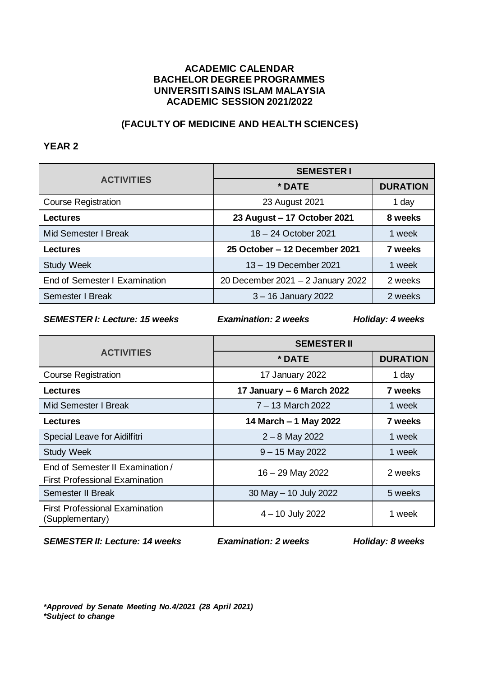# **(FACULTY OF MEDICINE AND HEALTH SCIENCES)**

## **YEAR 2**

|                               | <b>SEMESTERI</b>                  |                 |
|-------------------------------|-----------------------------------|-----------------|
| <b>ACTIVITIES</b>             | * DATE                            | <b>DURATION</b> |
| <b>Course Registration</b>    | 23 August 2021                    | 1 day           |
| Lectures                      | 23 August - 17 October 2021       | 8 weeks         |
| Mid Semester I Break          | 18 - 24 October 2021              | 1 week          |
| Lectures                      | 25 October - 12 December 2021     | 7 weeks         |
| <b>Study Week</b>             | 13 - 19 December 2021             | 1 week          |
| End of Semester I Examination | 20 December 2021 - 2 January 2022 | 2 weeks         |
| Semester I Break              | $3 - 16$ January 2022             | 2 weeks         |

*SEMESTER I: Lecture: 15 weeks Examination: 2 weeks Holiday: 4 weeks*

|                                                                           | <b>SEMESTER II</b>        |                 |
|---------------------------------------------------------------------------|---------------------------|-----------------|
| <b>ACTIVITIES</b>                                                         | * DATE                    | <b>DURATION</b> |
| <b>Course Registration</b>                                                | 17 January 2022           | 1 day           |
| Lectures                                                                  | 17 January - 6 March 2022 | 7 weeks         |
| Mid Semester I Break                                                      | $7 - 13$ March 2022       | 1 week          |
| Lectures                                                                  | 14 March - 1 May 2022     | 7 weeks         |
| Special Leave for Aidilfitri                                              | $2 - 8$ May 2022          | 1 week          |
| <b>Study Week</b>                                                         | $9 - 15$ May 2022         | 1 week          |
| End of Semester II Examination /<br><b>First Professional Examination</b> | 16 - 29 May 2022          | 2 weeks         |
| <b>Semester II Break</b>                                                  | 30 May - 10 July 2022     | 5 weeks         |
| <b>First Professional Examination</b><br>(Supplementary)                  | $4 - 10$ July 2022        | 1 week          |

*SEMESTER II: Lecture: 14 weeks Examination: 2 weeks Holiday: 8 weeks*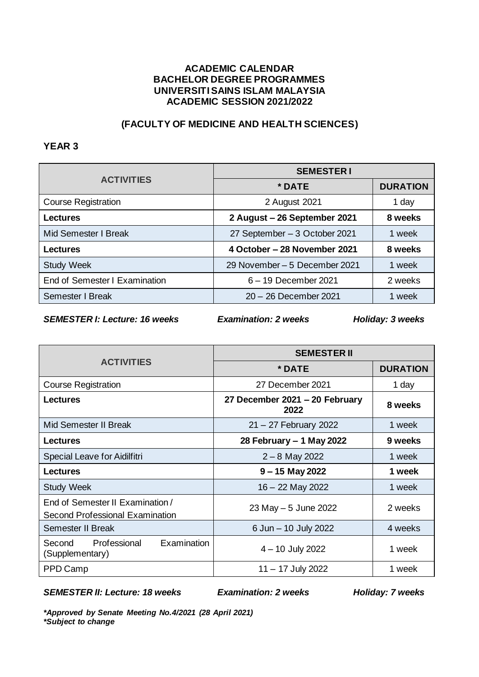# **(FACULTY OF MEDICINE AND HEALTH SCIENCES)**

## **YEAR 3**

|                               | <b>SEMESTERI</b>              |                 |
|-------------------------------|-------------------------------|-----------------|
| <b>ACTIVITIES</b>             | * DATE                        | <b>DURATION</b> |
| <b>Course Registration</b>    | 2 August 2021                 | 1 day           |
| Lectures                      | 2 August - 26 September 2021  | 8 weeks         |
| Mid Semester I Break          | 27 September - 3 October 2021 | 1 week          |
| Lectures                      | 4 October – 28 November 2021  | 8 weeks         |
| <b>Study Week</b>             | 29 November - 5 December 2021 | 1 week          |
| End of Semester I Examination | 6 - 19 December 2021          | 2 weeks         |
| Semester I Break              | 20 - 26 December 2021         | 1 week          |

*SEMESTER I: Lecture: 16 weeks Examination: 2 weeks Holiday: 3 weeks*

|                                                                            | <b>SEMESTER II</b>                     |                 |
|----------------------------------------------------------------------------|----------------------------------------|-----------------|
| <b>ACTIVITIES</b>                                                          | * DATE                                 | <b>DURATION</b> |
| <b>Course Registration</b>                                                 | 27 December 2021                       | 1 day           |
| <b>Lectures</b>                                                            | 27 December 2021 - 20 February<br>2022 | 8 weeks         |
| Mid Semester II Break                                                      | 21 - 27 February 2022                  | 1 week          |
| <b>Lectures</b>                                                            | 28 February - 1 May 2022               | 9 weeks         |
| Special Leave for Aidilfitri                                               | $2 - 8$ May 2022                       | 1 week          |
| <b>Lectures</b>                                                            | $9 - 15$ May 2022                      | 1 week          |
| <b>Study Week</b>                                                          | 16 - 22 May 2022                       | 1 week          |
| End of Semester II Examination /<br><b>Second Professional Examination</b> | 23 May - 5 June 2022                   | 2 weeks         |
| <b>Semester II Break</b>                                                   | 6 Jun - 10 July 2022                   | 4 weeks         |
| Examination<br>Professional<br>Second<br>(Supplementary)                   | 4 - 10 July 2022                       | 1 week          |
| PPD Camp                                                                   | $11 - 17$ July 2022                    | 1 week          |

*SEMESTER II: Lecture: 18 weeks Examination: 2 weeks Holiday: 7 weeks*

*\*Approved by Senate Meeting No.4/2021 (28 April 2021) \*Subject to change*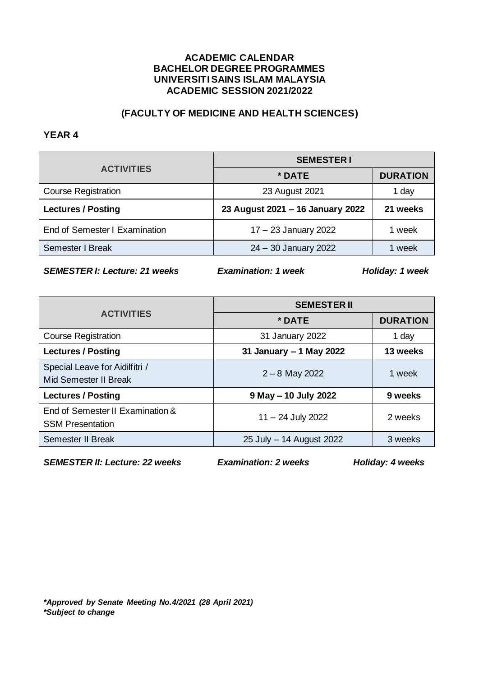# **(FACULTY OF MEDICINE AND HEALTH SCIENCES)**

#### **YEAR 4**

|                               | <b>SEMESTER I</b>                |                 |
|-------------------------------|----------------------------------|-----------------|
| <b>ACTIVITIES</b>             | * DATE                           | <b>DURATION</b> |
| <b>Course Registration</b>    | 23 August 2021                   | 1 day           |
| <b>Lectures / Posting</b>     | 23 August 2021 - 16 January 2022 | 21 weeks        |
| End of Semester I Examination | 17 - 23 January 2022             | 1 week          |
| Semester I Break              | 24 - 30 January 2022             | week            |

*SEMESTER I: Lecture: 21 weeks Examination: 1 week Holiday: 1 week*

|                                                             | <b>SEMESTER II</b>       |                 |
|-------------------------------------------------------------|--------------------------|-----------------|
| <b>ACTIVITIES</b>                                           | * DATE                   | <b>DURATION</b> |
| <b>Course Registration</b>                                  | 31 January 2022          | 1 day           |
| <b>Lectures / Posting</b>                                   | 31 January - 1 May 2022  | 13 weeks        |
| Special Leave for Aidilfitri /<br>Mid Semester II Break     | $2 - 8$ May 2022         | 1 week          |
| <b>Lectures / Posting</b>                                   | 9 May - 10 July 2022     | 9 weeks         |
| End of Semester II Examination &<br><b>SSM Presentation</b> | 11 - 24 July 2022        | 2 weeks         |
| Semester II Break                                           | 25 July - 14 August 2022 | 3 weeks         |

*SEMESTER II: Lecture: 22 weeks Examination: 2 weeks Holiday: 4 weeks*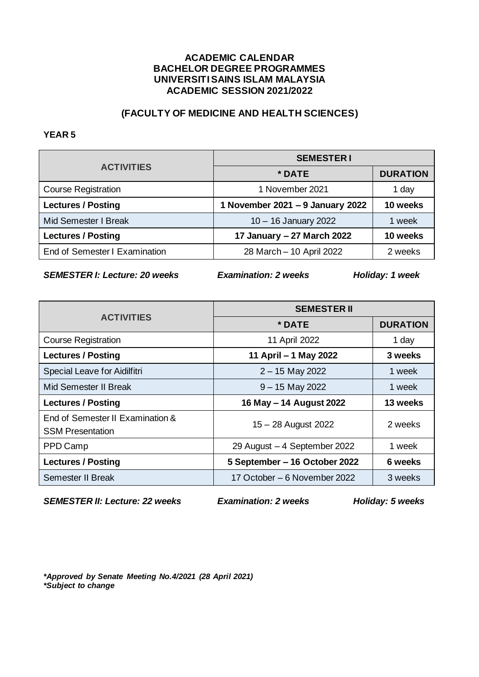# **(FACULTY OF MEDICINE AND HEALTH SCIENCES)**

#### **YEAR 5**

| <b>ACTIVITIES</b>             | <b>SEMESTER I</b>                |                 |
|-------------------------------|----------------------------------|-----------------|
|                               | * DATE                           | <b>DURATION</b> |
| <b>Course Registration</b>    | 1 November 2021                  | 1 day           |
| <b>Lectures / Posting</b>     | 1 November 2021 - 9 January 2022 | 10 weeks        |
| Mid Semester I Break          | 10 - 16 January 2022             | 1 week          |
| <b>Lectures / Posting</b>     | 17 January - 27 March 2022       | 10 weeks        |
| End of Semester I Examination | 28 March - 10 April 2022         | 2 weeks         |

*SEMESTER I: Lecture: 20 weeks Examination: 2 weeks Holiday: 1 week*

|                                                             | <b>SEMESTER II</b>            |                 |
|-------------------------------------------------------------|-------------------------------|-----------------|
| <b>ACTIVITIES</b>                                           | * DATE                        | <b>DURATION</b> |
| <b>Course Registration</b>                                  | 11 April 2022                 | 1 day           |
| <b>Lectures / Posting</b>                                   | 11 April - 1 May 2022         | 3 weeks         |
| Special Leave for Aidilfitri                                | $2 - 15$ May 2022             | 1 week          |
| Mid Semester II Break                                       | $9 - 15$ May 2022             | 1 week          |
| <b>Lectures / Posting</b>                                   | 16 May - 14 August 2022       | 13 weeks        |
| End of Semester II Examination &<br><b>SSM Presentation</b> | 15 - 28 August 2022           | 2 weeks         |
| PPD Camp                                                    | 29 August - 4 September 2022  | 1 week          |
| <b>Lectures / Posting</b>                                   | 5 September – 16 October 2022 | 6 weeks         |
| Semester II Break                                           | 17 October – 6 November 2022  | 3 weeks         |

*SEMESTER II: Lecture: 22 weeks Examination: 2 weeks Holiday: 5 weeks*